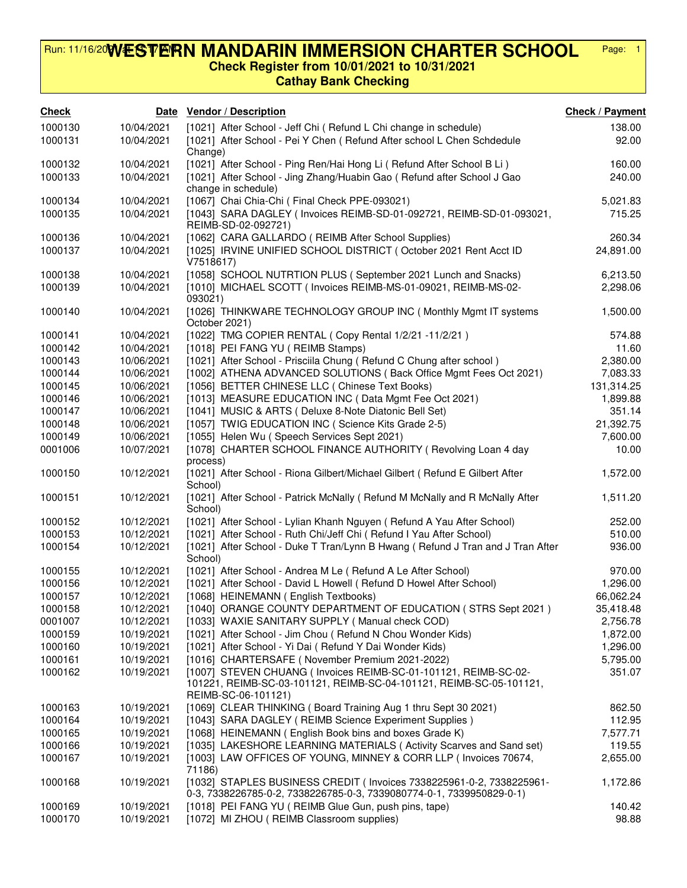## **WESTERN MANDARIN IMMERSION CHARTER SCHOOL Check Register from 10/01/2021 to 10/31/2021** Run: 11/16/20**VVESTERN MANDARIN IMMERSION CHARTER SCHOOL** Page: 1

## **Cathay Bank Checking**

| <b>Check</b> | Date       | <b>Vendor / Description</b>                                                                                                                                   | <b>Check / Payment</b> |
|--------------|------------|---------------------------------------------------------------------------------------------------------------------------------------------------------------|------------------------|
| 1000130      | 10/04/2021 | [1021] After School - Jeff Chi ( Refund L Chi change in schedule)                                                                                             | 138.00                 |
| 1000131      | 10/04/2021 | [1021] After School - Pei Y Chen ( Refund After school L Chen Schdedule<br>Change)                                                                            | 92.00                  |
| 1000132      | 10/04/2021 | [1021] After School - Ping Ren/Hai Hong Li ( Refund After School B Li )                                                                                       | 160.00                 |
| 1000133      | 10/04/2021 | [1021] After School - Jing Zhang/Huabin Gao ( Refund after School J Gao<br>change in schedule)                                                                | 240.00                 |
| 1000134      | 10/04/2021 | [1067] Chai Chia-Chi (Final Check PPE-093021)                                                                                                                 | 5,021.83               |
| 1000135      | 10/04/2021 | [1043] SARA DAGLEY ( Invoices REIMB-SD-01-092721, REIMB-SD-01-093021,<br>REIMB-SD-02-092721)                                                                  | 715.25                 |
| 1000136      | 10/04/2021 | [1062] CARA GALLARDO (REIMB After School Supplies)                                                                                                            | 260.34                 |
| 1000137      | 10/04/2021 | [1025] IRVINE UNIFIED SCHOOL DISTRICT (October 2021 Rent Acct ID<br>V7518617)                                                                                 | 24,891.00              |
| 1000138      | 10/04/2021 | [1058] SCHOOL NUTRTION PLUS (September 2021 Lunch and Snacks)                                                                                                 | 6,213.50               |
| 1000139      | 10/04/2021 | [1010] MICHAEL SCOTT (Invoices REIMB-MS-01-09021, REIMB-MS-02-<br>093021)                                                                                     | 2,298.06               |
| 1000140      | 10/04/2021 | [1026] THINKWARE TECHNOLOGY GROUP INC (Monthly Mgmt IT systems<br>October 2021)                                                                               | 1,500.00               |
| 1000141      | 10/04/2021 | [1022] TMG COPIER RENTAL ( Copy Rental 1/2/21 -11/2/21)                                                                                                       | 574.88                 |
| 1000142      | 10/04/2021 | [1018] PEI FANG YU ( REIMB Stamps)                                                                                                                            | 11.60                  |
| 1000143      | 10/06/2021 | [1021] After School - Prisciila Chung (Refund C Chung after school)                                                                                           | 2,380.00               |
| 1000144      | 10/06/2021 | [1002] ATHENA ADVANCED SOLUTIONS (Back Office Mgmt Fees Oct 2021)                                                                                             | 7,083.33               |
| 1000145      | 10/06/2021 | [1056] BETTER CHINESE LLC ( Chinese Text Books)                                                                                                               | 131,314.25             |
| 1000146      | 10/06/2021 | [1013] MEASURE EDUCATION INC (Data Mgmt Fee Oct 2021)                                                                                                         | 1,899.88               |
| 1000147      | 10/06/2021 | [1041] MUSIC & ARTS (Deluxe 8-Note Diatonic Bell Set)                                                                                                         | 351.14                 |
| 1000148      | 10/06/2021 | [1057] TWIG EDUCATION INC (Science Kits Grade 2-5)                                                                                                            | 21,392.75              |
| 1000149      | 10/06/2021 | [1055] Helen Wu (Speech Services Sept 2021)                                                                                                                   | 7,600.00               |
| 0001006      | 10/07/2021 | [1078] CHARTER SCHOOL FINANCE AUTHORITY (Revolving Loan 4 day<br>process)                                                                                     | 10.00                  |
| 1000150      | 10/12/2021 | [1021] After School - Riona Gilbert/Michael Gilbert ( Refund E Gilbert After<br>School)                                                                       | 1,572.00               |
| 1000151      | 10/12/2021 | [1021] After School - Patrick McNally (Refund M McNally and R McNally After<br>School)                                                                        | 1,511.20               |
| 1000152      | 10/12/2021 | [1021] After School - Lylian Khanh Nguyen (Refund A Yau After School)                                                                                         | 252.00                 |
| 1000153      | 10/12/2021 | [1021] After School - Ruth Chi/Jeff Chi ( Refund I Yau After School)                                                                                          | 510.00                 |
| 1000154      | 10/12/2021 | [1021] After School - Duke T Tran/Lynn B Hwang (Refund J Tran and J Tran After<br>School)                                                                     | 936.00                 |
| 1000155      | 10/12/2021 | [1021] After School - Andrea M Le ( Refund A Le After School)                                                                                                 | 970.00                 |
| 1000156      | 10/12/2021 | [1021] After School - David L Howell ( Refund D Howel After School)                                                                                           | 1,296.00               |
| 1000157      | 10/12/2021 | [1068] HEINEMANN (English Textbooks)                                                                                                                          | 66,062.24              |
| 1000158      | 10/12/2021 | [1040] ORANGE COUNTY DEPARTMENT OF EDUCATION (STRS Sept 2021)                                                                                                 | 35,418.48              |
| 0001007      | 10/12/2021 | [1033] WAXIE SANITARY SUPPLY (Manual check COD)                                                                                                               | 2,756.78               |
| 1000159      | 10/19/2021 | [1021] After School - Jim Chou ( Refund N Chou Wonder Kids)                                                                                                   | 1,872.00               |
| 1000160      | 10/19/2021 | [1021] After School - Yi Dai ( Refund Y Dai Wonder Kids)                                                                                                      | 1,296.00               |
| 1000161      | 10/19/2021 | [1016] CHARTERSAFE (November Premium 2021-2022)                                                                                                               | 5,795.00               |
| 1000162      | 10/19/2021 | [1007] STEVEN CHUANG (Invoices REIMB-SC-01-101121, REIMB-SC-02-<br>101221, REIMB-SC-03-101121, REIMB-SC-04-101121, REIMB-SC-05-101121,<br>REIMB-SC-06-101121) | 351.07                 |
| 1000163      | 10/19/2021 | [1069] CLEAR THINKING (Board Training Aug 1 thru Sept 30 2021)                                                                                                | 862.50                 |
| 1000164      | 10/19/2021 | [1043] SARA DAGLEY ( REIMB Science Experiment Supplies )                                                                                                      | 112.95                 |
| 1000165      | 10/19/2021 | [1068] HEINEMANN (English Book bins and boxes Grade K)                                                                                                        | 7,577.71               |
| 1000166      | 10/19/2021 | [1035] LAKESHORE LEARNING MATERIALS (Activity Scarves and Sand set)                                                                                           | 119.55                 |
| 1000167      | 10/19/2021 | [1003] LAW OFFICES OF YOUNG, MINNEY & CORR LLP (Invoices 70674,<br>71186)                                                                                     | 2,655.00               |
| 1000168      | 10/19/2021 | [1032] STAPLES BUSINESS CREDIT (Invoices 7338225961-0-2, 7338225961-<br>0-3, 7338226785-0-2, 7338226785-0-3, 7339080774-0-1, 7339950829-0-1)                  | 1,172.86               |
| 1000169      | 10/19/2021 | [1018] PEI FANG YU ( REIMB Glue Gun, push pins, tape)                                                                                                         | 140.42                 |
| 1000170      | 10/19/2021 | [1072] MI ZHOU ( REIMB Classroom supplies)                                                                                                                    | 98.88                  |